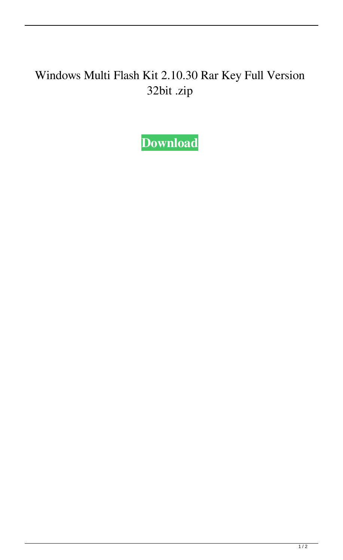## Windows Multi Flash Kit 2.10.30 Rar Key Full Version 32bit .zip